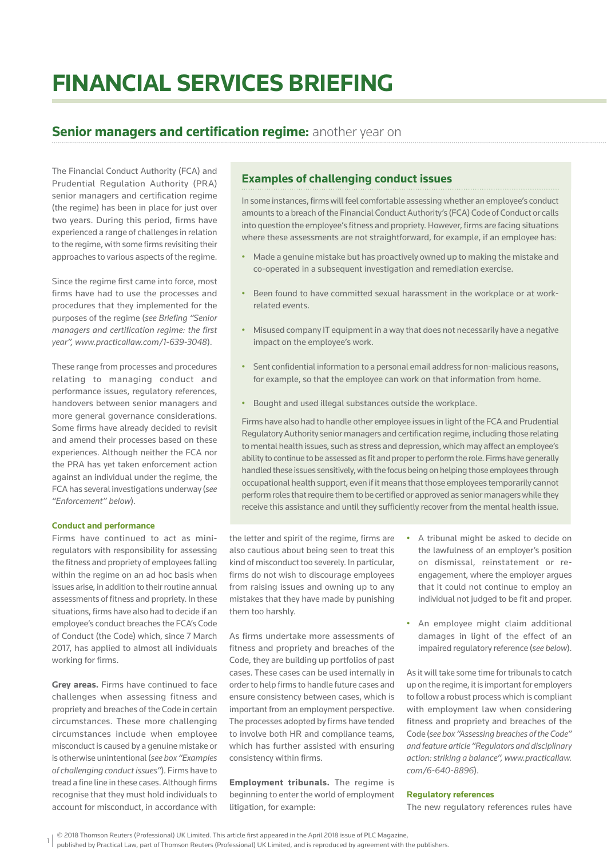# **FINANCIAL SERVICES BRIEFING**

## **Senior managers and certification regime: another year on**

The Financial Conduct Authority (FCA) and Prudential Regulation Authority (PRA) senior managers and certification regime (the regime) has been in place for just over two years. During this period, firms have experienced a range of challenges in relation to the regime, with some firms revisiting their approaches to various aspects of the regime.

Since the regime first came into force, most firms have had to use the processes and procedures that they implemented for the purposes of the regime (see Briefing "Senior *managers and certification regime: the first year", www.practicallaw.com/1-639-3048*).

These range from processes and procedures relating to managing conduct and performance issues, regulatory references, handovers between senior managers and more general governance considerations. Some firms have already decided to revisit and amend their processes based on these experiences. Although neither the FCA nor the PRA has yet taken enforcement action against an individual under the regime, the FCA has several investigations underway (*see "Enforcement" below*).

#### **Conduct and performance**

Firms have continued to act as miniregulators with responsibility for assessing the fitness and propriety of employees falling within the regime on an ad hoc basis when issues arise, in addition to their routine annual assessments of fitness and propriety. In these situations, firms have also had to decide if an employee's conduct breaches the FCA's Code of Conduct (the Code) which, since 7 March 2017, has applied to almost all individuals working for firms.

**Grey areas.** Firms have continued to face challenges when assessing fitness and propriety and breaches of the Code in certain circumstances. These more challenging circumstances include when employee misconduct is caused by a genuine mistake or is otherwise unintentional (*see box "Examples of challenging conduct issues"*). Firms have to tread a fine line in these cases. Although firms recognise that they must hold individuals to account for misconduct, in accordance with

## **Examples of challenging conduct issues**

In some instances, firms will feel comfortable assessing whether an employee's conduct amounts to a breach of the Financial Conduct Authority's (FCA) Code of Conduct or calls into question the employee's fitness and propriety. However, firms are facing situations where these assessments are not straightforward, for example, if an employee has:

- Made a genuine mistake but has proactively owned up to making the mistake and co-operated in a subsequent investigation and remediation exercise.
- Been found to have committed sexual harassment in the workplace or at workrelated events.
- Misused company IT equipment in a way that does not necessarily have a negative impact on the employee's work.
- Sent confidential information to a personal email address for non-malicious reasons. for example, so that the employee can work on that information from home.
- Bought and used illegal substances outside the workplace.

Firms have also had to handle other employee issues in light of the FCA and Prudential Regulatory Authority senior managers and certification regime, including those relating to mental health issues, such as stress and depression, which may affect an employee's ability to continue to be assessed as fit and proper to perform the role. Firms have generally handled these issues sensitively, with the focus being on helping those employees through occupational health support, even if it means that those employees temporarily cannot perform roles that require them to be certified or approved as senior managers while they receive this assistance and until they sufficiently recover from the mental health issue.

the letter and spirit of the regime, firms are also cautious about being seen to treat this kind of misconduct too severely. In particular, firms do not wish to discourage employees from raising issues and owning up to any mistakes that they have made by punishing them too harshly.

As firms undertake more assessments of fitness and propriety and breaches of the Code, they are building up portfolios of past cases. These cases can be used internally in order to help firms to handle future cases and ensure consistency between cases, which is important from an employment perspective. The processes adopted by firms have tended to involve both HR and compliance teams, which has further assisted with ensuring consistency within firms.

**Employment tribunals.** The regime is beginning to enter the world of employment litigation, for example:

- A tribunal might be asked to decide on the lawfulness of an employer's position on dismissal, reinstatement or reengagement, where the employer argues that it could not continue to employ an individual not judged to be fit and proper.
- An employee might claim additional damages in light of the effect of an impaired regulatory reference (*see below*).

As it will take some time for tribunals to catch up on the regime, it is important for employers to follow a robust process which is compliant with employment law when considering fitness and propriety and breaches of the Code (*see box "Assessing breaches of the Code" and feature article "Regulators and disciplinary action: striking a balance", www.practicallaw. com/6-640-8896*).

#### **Regulatory references**

The new regulatory references rules have

<sup>© 2018</sup> Thomson Reuters (Professional) UK Limited. This article first appeared in the April 2018 issue of PLC Magazine,

<sup>1</sup> published by Practical Law, part of Thomson Reuters (Professional) UK Limited, and is reproduced by agreement with the publishers.